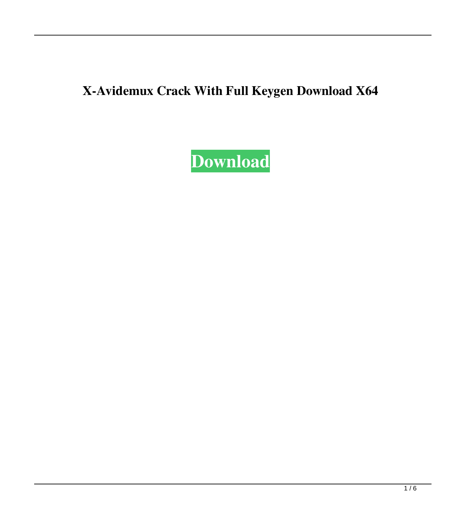# **X-Avidemux Crack With Full Keygen Download X64**

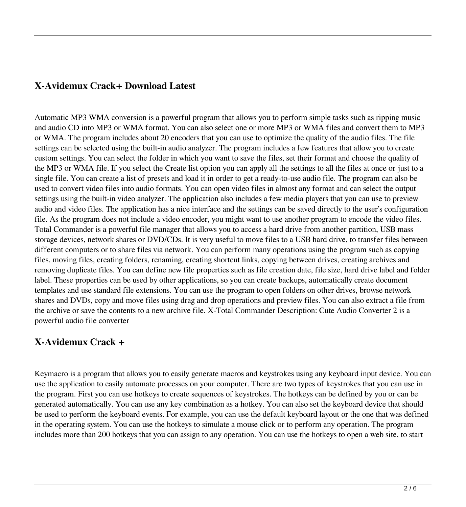## **X-Avidemux Crack+ Download Latest**

Automatic MP3 WMA conversion is a powerful program that allows you to perform simple tasks such as ripping music and audio CD into MP3 or WMA format. You can also select one or more MP3 or WMA files and convert them to MP3 or WMA. The program includes about 20 encoders that you can use to optimize the quality of the audio files. The file settings can be selected using the built-in audio analyzer. The program includes a few features that allow you to create custom settings. You can select the folder in which you want to save the files, set their format and choose the quality of the MP3 or WMA file. If you select the Create list option you can apply all the settings to all the files at once or just to a single file. You can create a list of presets and load it in order to get a ready-to-use audio file. The program can also be used to convert video files into audio formats. You can open video files in almost any format and can select the output settings using the built-in video analyzer. The application also includes a few media players that you can use to preview audio and video files. The application has a nice interface and the settings can be saved directly to the user's configuration file. As the program does not include a video encoder, you might want to use another program to encode the video files. Total Commander is a powerful file manager that allows you to access a hard drive from another partition, USB mass storage devices, network shares or DVD/CDs. It is very useful to move files to a USB hard drive, to transfer files between different computers or to share files via network. You can perform many operations using the program such as copying files, moving files, creating folders, renaming, creating shortcut links, copying between drives, creating archives and removing duplicate files. You can define new file properties such as file creation date, file size, hard drive label and folder label. These properties can be used by other applications, so you can create backups, automatically create document templates and use standard file extensions. You can use the program to open folders on other drives, browse network shares and DVDs, copy and move files using drag and drop operations and preview files. You can also extract a file from the archive or save the contents to a new archive file. X-Total Commander Description: Cute Audio Converter 2 is a powerful audio file converter

#### **X-Avidemux Crack +**

Keymacro is a program that allows you to easily generate macros and keystrokes using any keyboard input device. You can use the application to easily automate processes on your computer. There are two types of keystrokes that you can use in the program. First you can use hotkeys to create sequences of keystrokes. The hotkeys can be defined by you or can be generated automatically. You can use any key combination as a hotkey. You can also set the keyboard device that should be used to perform the keyboard events. For example, you can use the default keyboard layout or the one that was defined in the operating system. You can use the hotkeys to simulate a mouse click or to perform any operation. The program includes more than 200 hotkeys that you can assign to any operation. You can use the hotkeys to open a web site, to start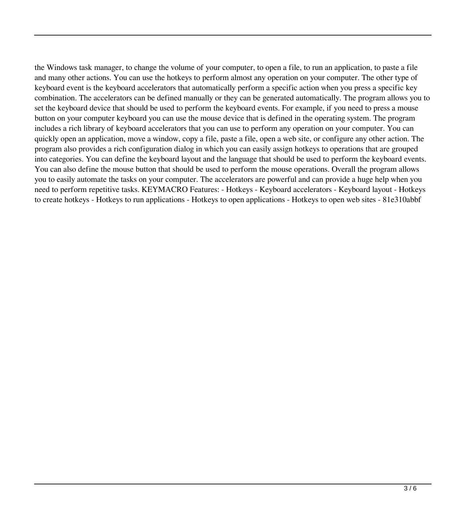the Windows task manager, to change the volume of your computer, to open a file, to run an application, to paste a file and many other actions. You can use the hotkeys to perform almost any operation on your computer. The other type of keyboard event is the keyboard accelerators that automatically perform a specific action when you press a specific key combination. The accelerators can be defined manually or they can be generated automatically. The program allows you to set the keyboard device that should be used to perform the keyboard events. For example, if you need to press a mouse button on your computer keyboard you can use the mouse device that is defined in the operating system. The program includes a rich library of keyboard accelerators that you can use to perform any operation on your computer. You can quickly open an application, move a window, copy a file, paste a file, open a web site, or configure any other action. The program also provides a rich configuration dialog in which you can easily assign hotkeys to operations that are grouped into categories. You can define the keyboard layout and the language that should be used to perform the keyboard events. You can also define the mouse button that should be used to perform the mouse operations. Overall the program allows you to easily automate the tasks on your computer. The accelerators are powerful and can provide a huge help when you need to perform repetitive tasks. KEYMACRO Features: - Hotkeys - Keyboard accelerators - Keyboard layout - Hotkeys to create hotkeys - Hotkeys to run applications - Hotkeys to open applications - Hotkeys to open web sites - 81e310abbf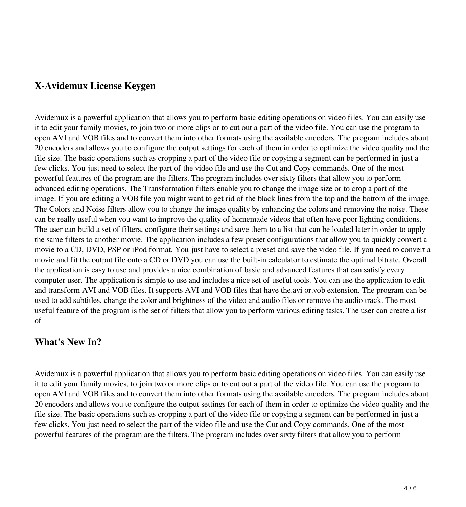## **X-Avidemux License Keygen**

Avidemux is a powerful application that allows you to perform basic editing operations on video files. You can easily use it to edit your family movies, to join two or more clips or to cut out a part of the video file. You can use the program to open AVI and VOB files and to convert them into other formats using the available encoders. The program includes about 20 encoders and allows you to configure the output settings for each of them in order to optimize the video quality and the file size. The basic operations such as cropping a part of the video file or copying a segment can be performed in just a few clicks. You just need to select the part of the video file and use the Cut and Copy commands. One of the most powerful features of the program are the filters. The program includes over sixty filters that allow you to perform advanced editing operations. The Transformation filters enable you to change the image size or to crop a part of the image. If you are editing a VOB file you might want to get rid of the black lines from the top and the bottom of the image. The Colors and Noise filters allow you to change the image quality by enhancing the colors and removing the noise. These can be really useful when you want to improve the quality of homemade videos that often have poor lighting conditions. The user can build a set of filters, configure their settings and save them to a list that can be loaded later in order to apply the same filters to another movie. The application includes a few preset configurations that allow you to quickly convert a movie to a CD, DVD, PSP or iPod format. You just have to select a preset and save the video file. If you need to convert a movie and fit the output file onto a CD or DVD you can use the built-in calculator to estimate the optimal bitrate. Overall the application is easy to use and provides a nice combination of basic and advanced features that can satisfy every computer user. The application is simple to use and includes a nice set of useful tools. You can use the application to edit and transform AVI and VOB files. It supports AVI and VOB files that have the.avi or.vob extension. The program can be used to add subtitles, change the color and brightness of the video and audio files or remove the audio track. The most useful feature of the program is the set of filters that allow you to perform various editing tasks. The user can create a list of

#### **What's New In?**

Avidemux is a powerful application that allows you to perform basic editing operations on video files. You can easily use it to edit your family movies, to join two or more clips or to cut out a part of the video file. You can use the program to open AVI and VOB files and to convert them into other formats using the available encoders. The program includes about 20 encoders and allows you to configure the output settings for each of them in order to optimize the video quality and the file size. The basic operations such as cropping a part of the video file or copying a segment can be performed in just a few clicks. You just need to select the part of the video file and use the Cut and Copy commands. One of the most powerful features of the program are the filters. The program includes over sixty filters that allow you to perform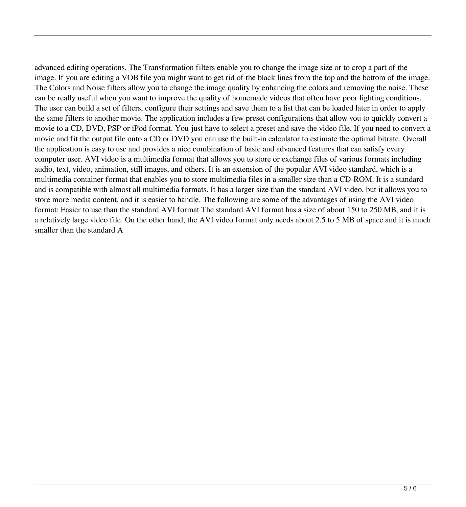advanced editing operations. The Transformation filters enable you to change the image size or to crop a part of the image. If you are editing a VOB file you might want to get rid of the black lines from the top and the bottom of the image. The Colors and Noise filters allow you to change the image quality by enhancing the colors and removing the noise. These can be really useful when you want to improve the quality of homemade videos that often have poor lighting conditions. The user can build a set of filters, configure their settings and save them to a list that can be loaded later in order to apply the same filters to another movie. The application includes a few preset configurations that allow you to quickly convert a movie to a CD, DVD, PSP or iPod format. You just have to select a preset and save the video file. If you need to convert a movie and fit the output file onto a CD or DVD you can use the built-in calculator to estimate the optimal bitrate. Overall the application is easy to use and provides a nice combination of basic and advanced features that can satisfy every computer user. AVI video is a multimedia format that allows you to store or exchange files of various formats including audio, text, video, animation, still images, and others. It is an extension of the popular AVI video standard, which is a multimedia container format that enables you to store multimedia files in a smaller size than a CD-ROM. It is a standard and is compatible with almost all multimedia formats. It has a larger size than the standard AVI video, but it allows you to store more media content, and it is easier to handle. The following are some of the advantages of using the AVI video format: Easier to use than the standard AVI format The standard AVI format has a size of about 150 to 250 MB, and it is a relatively large video file. On the other hand, the AVI video format only needs about 2.5 to 5 MB of space and it is much smaller than the standard A